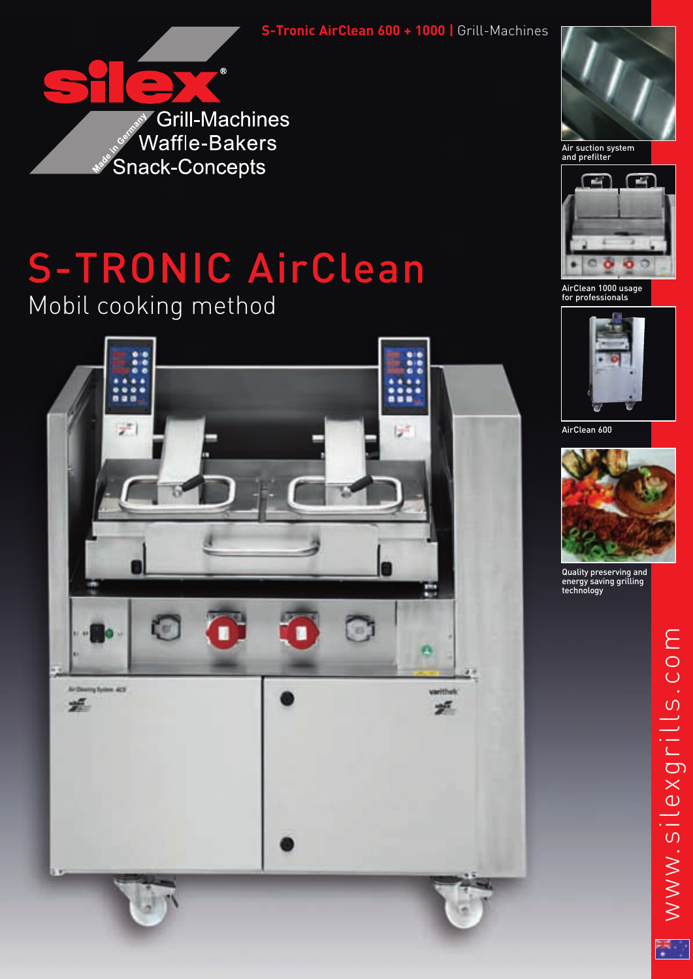**S-Tronic AirClean 600 + 1000 |** Grill-Machines



# S-TRONIC AirClean Mobil cooking method





Air suction system and prefilter



AirClean 1000 usage for professionals



AirClean 600



Quality preserving and energy saving grilling technology

> www.silexgrills.com www.silexgrills.com

FR.